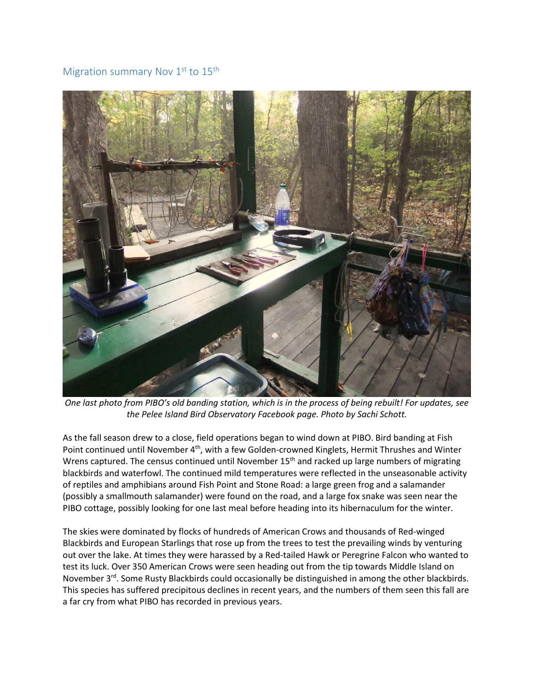## Migration summary Nov  $1<sup>st</sup>$  to  $15<sup>th</sup>$



*One last photo from PIBO's old banding station, which is in the process of being rebuilt! For updates, see the Pelee Island Bird Observatory Facebook page. Photo by Sachi Schott.* 

As the fall season drew to a close, field operations began to wind down at PIBO. Bird banding at Fish Point continued until November 4<sup>th</sup>, with a few Golden-crowned Kinglets, Hermit Thrushes and Winter Wrens captured. The census continued until November  $15<sup>th</sup>$  and racked up large numbers of migrating blackbirds and waterfowl. The continued mild temperatures were reflected in the unseasonable activity of reptiles and amphibians around Fish Point and Stone Road: a large green frog and a salamander (possibly a smallmouth salamander) were found on the road, and a large fox snake was seen near the PIBO cottage, possibly looking for one last meal before heading into its hibernaculum for the winter.

The skies were dominated by flocks of hundreds of American Crows and thousands of Red-winged Blackbirds and European Starlings that rose up from the trees to test the prevailing winds by venturing out over the lake. At times they were harassed by a Red-tailed Hawk or Peregrine Falcon who wanted to test its luck. Over 350 American Crows were seen heading out from the tip towards Middle Island on November  $3^{rd}$ . Some Rusty Blackbirds could occasionally be distinguished in among the other blackbirds. This species has suffered precipitous declines in recent years, and the numbers of them seen this fall are a far cry from what PIBO has recorded in previous years.